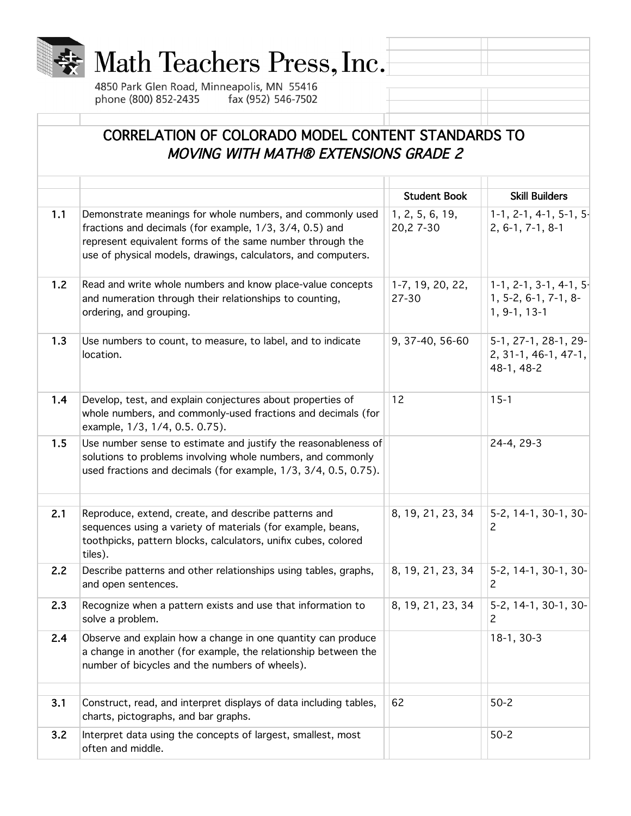

## Math Teachers Press, Inc.

4850 Park Glen Road, Minneapolis, MN 55416 phone (800) 852-2435 fax (952) 546-7502

## CORRELATION OF COLORADO MODEL CONTENT STANDARDS TO MOVING WITH MATH® EXTENSIONS GRADE 2

|     |                                                                                                                                                                                                                                                    | <b>Student Book</b>          | <b>Skill Builders</b>                                               |
|-----|----------------------------------------------------------------------------------------------------------------------------------------------------------------------------------------------------------------------------------------------------|------------------------------|---------------------------------------------------------------------|
| 1.1 | Demonstrate meanings for whole numbers, and commonly used<br>fractions and decimals (for example, 1/3, 3/4, 0.5) and<br>represent equivalent forms of the same number through the<br>use of physical models, drawings, calculators, and computers. | 1, 2, 5, 6, 19,<br>20,27--30 | $1-1$ , 2-1, 4-1, 5-1, 5-<br>$2, 6-1, 7-1, 8-1$                     |
| 1.2 | Read and write whole numbers and know place-value concepts<br>and numeration through their relationships to counting,<br>ordering, and grouping.                                                                                                   | 1-7, 19, 20, 22,<br>27-30    | $1-1$ , 2-1, 3-1, 4-1, 5-<br>1, 5-2, 6-1, 7-1, 8-<br>$1, 9-1, 13-1$ |
| 1.3 | Use numbers to count, to measure, to label, and to indicate<br>location.                                                                                                                                                                           | 9, 37-40, 56-60              | 5-1, 27-1, 28-1, 29-<br>2, 31-1, 46-1, 47-1,<br>48-1, 48-2          |
| 1.4 | Develop, test, and explain conjectures about properties of<br>whole numbers, and commonly-used fractions and decimals (for<br>example, 1/3, 1/4, 0.5. 0.75).                                                                                       | 12                           | $15 - 1$                                                            |
| 1.5 | Use number sense to estimate and justify the reasonableness of<br>solutions to problems involving whole numbers, and commonly<br>used fractions and decimals (for example, 1/3, 3/4, 0.5, 0.75).                                                   |                              | 24-4, 29-3                                                          |
| 2.1 | Reproduce, extend, create, and describe patterns and<br>sequences using a variety of materials (for example, beans,<br>toothpicks, pattern blocks, calculators, unifix cubes, colored<br>tiles).                                                   | 8, 19, 21, 23, 34            | 5-2, 14-1, 30-1, 30-<br>2                                           |
| 2.2 | Describe patterns and other relationships using tables, graphs,<br>and open sentences.                                                                                                                                                             | 8, 19, 21, 23, 34            | 5-2, 14-1, 30-1, 30-<br>2                                           |
| 2.3 | Recognize when a pattern exists and use that information to<br>solve a problem.                                                                                                                                                                    | 8, 19, 21, 23, 34            | 5-2, 14-1, 30-1, 30-<br>2                                           |
| 2.4 | Observe and explain how a change in one quantity can produce<br>a change in another (for example, the relationship between the<br>number of bicycles and the numbers of wheels).                                                                   |                              | 18-1, 30-3                                                          |
| 3.1 | Construct, read, and interpret displays of data including tables,<br>charts, pictographs, and bar graphs.                                                                                                                                          | 62                           | $50 - 2$                                                            |
| 3.2 | Interpret data using the concepts of largest, smallest, most<br>often and middle.                                                                                                                                                                  |                              | $50 - 2$                                                            |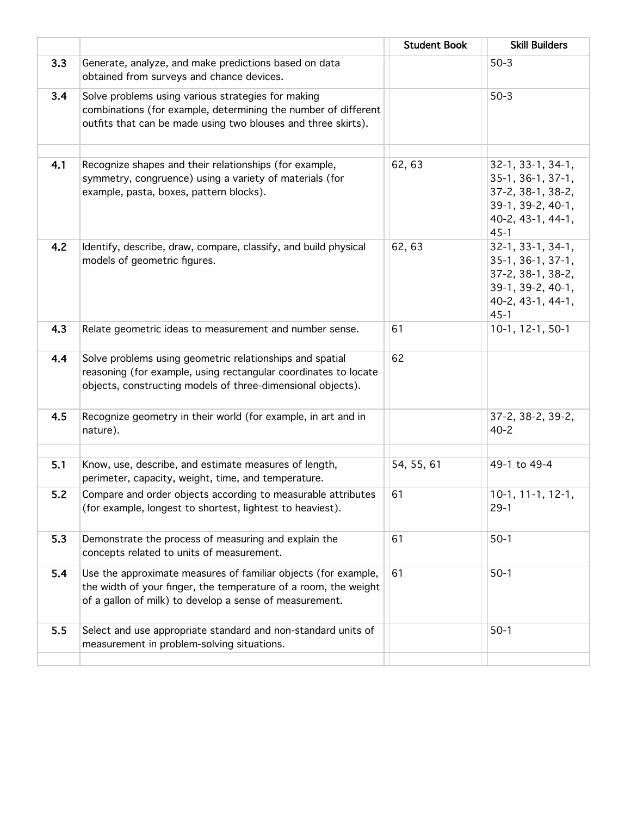|     |                                                                                                                                                                                              | <b>Student Book</b> | <b>Skill Builders</b>                                                                                               |
|-----|----------------------------------------------------------------------------------------------------------------------------------------------------------------------------------------------|---------------------|---------------------------------------------------------------------------------------------------------------------|
| 3.3 | Generate, analyze, and make predictions based on data<br>obtained from surveys and chance devices.                                                                                           |                     | $50-3$                                                                                                              |
| 3.4 | Solve problems using various strategies for making<br>combinations (for example, determining the number of different<br>outfits that can be made using two blouses and three skirts).        |                     | $50-3$                                                                                                              |
| 4.1 | Recognize shapes and their relationships (for example,<br>symmetry, congruence) using a variety of materials (for<br>example, pasta, boxes, pattern blocks).                                 | 62, 63              | 32-1, 33-1, 34-1,<br>$35-1, 36-1, 37-1,$<br>37-2, 38-1, 38-2,<br>39-1, 39-2, 40-1,<br>40-2, 43-1, 44-1,<br>$45 - 1$ |
| 4.2 | Identify, describe, draw, compare, classify, and build physical<br>models of geometric figures.                                                                                              | 62, 63              | 32-1, 33-1, 34-1,<br>$35-1, 36-1, 37-1,$<br>37-2, 38-1, 38-2,<br>39-1, 39-2, 40-1,<br>40-2, 43-1, 44-1,<br>$45 - 1$ |
| 4.3 | Relate geometric ideas to measurement and number sense.                                                                                                                                      | 61                  | 10-1, 12-1, 50-1                                                                                                    |
| 4.4 | Solve problems using geometric relationships and spatial<br>reasoning (for example, using rectangular coordinates to locate<br>objects, constructing models of three-dimensional objects).   | 62                  |                                                                                                                     |
| 4.5 | Recognize geometry in their world (for example, in art and in<br>nature).                                                                                                                    |                     | 37-2, 38-2, 39-2,<br>$40 - 2$                                                                                       |
| 5.1 | Know, use, describe, and estimate measures of length,<br>perimeter, capacity, weight, time, and temperature.                                                                                 | 54, 55, 61          | 49-1 to 49-4                                                                                                        |
| 5.2 | Compare and order objects according to measurable attributes<br>(for example, longest to shortest, lightest to heaviest).                                                                    | 61                  | $10-1, 11-1, 12-1,$<br>$29 - 1$                                                                                     |
| 5.3 | Demonstrate the process of measuring and explain the<br>concepts related to units of measurement.                                                                                            | 61                  | $50-1$                                                                                                              |
| 5.4 | Use the approximate measures of familiar objects (for example,<br>the width of your finger, the temperature of a room, the weight<br>of a gallon of milk) to develop a sense of measurement. | 61                  | $50-1$                                                                                                              |
| 5.5 | Select and use appropriate standard and non-standard units of<br>measurement in problem-solving situations.                                                                                  |                     | $50-1$                                                                                                              |
|     |                                                                                                                                                                                              |                     |                                                                                                                     |